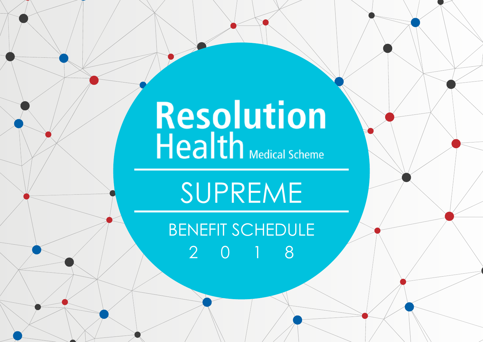# Resolution<br>Health Medical Scheme

# SUPREME

## BENEFIT SCHEDULE 2018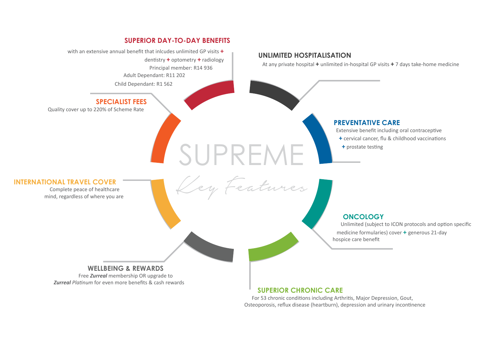### **SUPERIOR DAY-TO-DAY BENEFITS**

SUPREME

Key Features

Principal member: R14 936 Adult Dependant: R11 202 with an extensive annual benefit that inlcudes unlimited GP visits **+** dentistry **+** optometry **+** radiology

Child Dependant: R1 562

### **Specialist fees**

Quality cover up to 220% of Scheme Rate

#### **UNLIMITED HOSPITALISATION**

At any private hospital **+** unlimited in-hospital GP visits **+** 7 days take-home medicine

### **PREVENTATIVE CARE**

Extensive benefit including oral contraceptive

- **+** cervical cancer, flu & childhood vaccinations
- **+** prostate testing

#### **International Travel Cover**

Complete peace of healthcare mind, regardless of where you are

#### **ONCOLOGY**

Unlimited (subject to ICON protocols and option specific medicine formularies) cover **+** generous 21-day hospice care benefit

### **WELLBEING & REWARDS**

Free *Zurreal* membership OR upgrade to *Zurreal Platinum* for even more benefits & cash rewards

#### **SUPERIOR CHRONIC CARE**

For 53 chronic conditions including Arthritis, Major Depression, Gout, Osteoporosis, reflux disease (heartburn), depression and urinary incontinence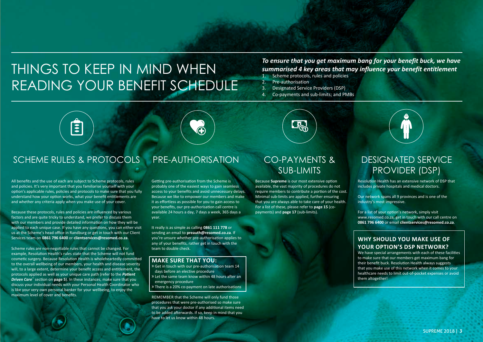### THINGS TO KEEP IN MIND WHEN reading your benefit schedule

### *To ensure that you get maximum bang for your benefit buck, we have summarised 4 key areas that may influence your benefit entitlement*

- 1. Scheme protocols, rules and policies
- 2. Pre-authorisation
- 3. Designated Service Providers (DSP)
- 4. Co-payments and sub-limits; and PMBs



### SCHEME RULES & PROTOCOLS PRE-AUTHORISATION CO-PAYMENTS &

All benefits and the use of each are subject to Scheme protocols, rules and policies. It's very important that you familiarise yourself with your option's applicable rules, policies and protocols to make sure that you fully understand how your option works, what your benefit entitlements are and whether any criteria apply when you make use of your cover.

Because these protocols, rules and policies are influenced by various factors and are quite tricky to understand, we prefer to discuss them with our members and provide detailed information on how they will be applied to each unique case. If you have any questions, you can either visit us at the Scheme's head office in Randburg or get in touch with our Client Services team on **0861 796 6400** or **clientservices@resomed.co.za**.

Scheme rules are non-negotiable rules that cannot be changed. For example, Resolution Health's rules state that the Scheme will not fund cosmetic surgery. Because Resolution Health is wholeheartedly committed to the overall wellbeing of our members, your health and disease severity will, to a large extent, determine your benefit access and entitlement, the protocols applied as well as your unique care path (refer to the *Patient Driven Care*™ section on **page 5**). In these instances, make sure that you discuss your individual needs with your Personal Health Coordinator who is like your very own personal banker for your wellbeing, to enjoy the maximum level of cover and benefits.

Getting pre-authorisation from the Scheme is probably one of the easiest ways to gain seamless access to your benefits and avoid unnecessary delays. Because we like to empower our members and make it as effortless as possible for you to gain access to your benefits, our pre-authorisation call centre is available 24 hours a day, 7 days a week, 365 days a year.

It really is as simple as calling **0861 111 778** or sending an email to **preauth@resomed.co.za**. If you're unsure whether pre-authorisation applies to any of your benefits, rather get in touch with the team to double check.

#### **Make sure that you:**

- » Get in touch with our pre-authorisation team 14 days before an elective procedure
- » Let the same team know within 48 hours after an emergency procedure
- » There is a 20% co-payment on late authorisations

REMEMBER that the Scheme will only fund those procedures that were pre-authorised so make sure that you ask your doctor if any additional items need to be added afterwards. If so, keep in mind that you have to let us know within 48 hours.

### sub-limits

**LEGA** 

Because **Supreme** is our most extensive option available, the vast majority of procedures do not require members to contribute a portion of the cost. Minimal sub-limits are applied, further ensuring that you are always able to take care of your health. For a list of these, please refer to **page 15** (copayments) and **page 17** (sub-limits).

### Designated service provider (dsp)

Resolution Health has an extensive network of DSP that includes private hospitals and medical doctors.

Our network spans all 9 provinces and is one of the industry's most impressive.

For a list of your option's network, simply visit www.resomed.co.za, get in touch with our call centre on **0861 796 6400** or email **clientservices@resomed.co.za**.

#### **WHY SHOULD YOU MAKE USE OF YOUR OPTION'S DSP NETWORK?**

We have special arrangements with each of these facilities to make sure that our members get maximum bang for their benefit buck. Resolution Health always suggests that you make use of this network when it comes to your healthcare needs to limit out-of-pocket expenses or avoid them altogether!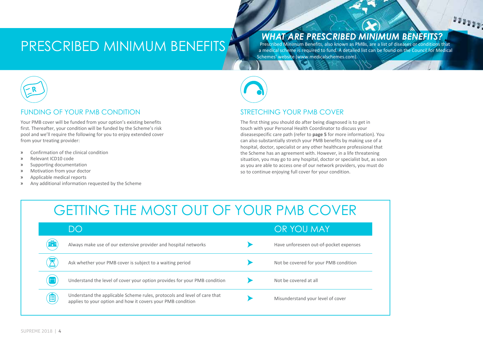### PRESCRIBED MINIMUM BENEFITS

### *WHAT ARE PRESCRIBED MINIMUM BENEFITS?*

 $1000000$ 

Prescribed Minimum Benefits, also known as PMBs, are a list of diseases or conditions that a medical scheme is required to fund. A detailed list can be found on the Council for Medical Schemes' website (www.medicalschemes.com).



### FUNDING OF YOUR PMB CONDITION

Your PMB cover will be funded from your option's existing benefits first. Thereafter, your condition will be funded by the Scheme's risk pool and we'll require the following for you to enjoy extended cover from your treating provider:

- » Confirmation of the clinical condition
- » Relevant ICD10 code
- » Supporting documentation
- » Motivation from your doctor
- » Applicable medical reports
- » Any additional information requested by the Scheme



### STRETCHING YOUR PMB COVER

The first thing you should do after being diagnosed is to get in touch with your Personal Health Coordinator to discuss your diseasespecific care path (refer to **page 5** for more information). You can also substantially stretch your PMB benefits by making use of a hospital, doctor, specialist or any other healthcare professional that the Scheme has an agreement with. However, in a life threatening situation, you may go to any hospital, doctor or specialist but, as soon as you are able to access one of our network providers, you must do so to continue enjoying full cover for your condition.

### GETTING THE MOST OUT OF YOUR PMB COVER

|            | DO                                                                                                                                      | OR YOU MAY                             |
|------------|-----------------------------------------------------------------------------------------------------------------------------------------|----------------------------------------|
| <b>ife</b> | Always make use of our extensive provider and hospital networks                                                                         | Have unforeseen out-of-pocket expenses |
|            | Ask whether your PMB cover is subject to a waiting period                                                                               | Not be covered for your PMB condition  |
|            | Understand the level of cover your option provides for your PMB condition                                                               | Not be covered at all                  |
| ê          | Understand the applicable Scheme rules, protocols and level of care that<br>applies to your option and how it covers your PMB condition | Misunderstand your level of cover      |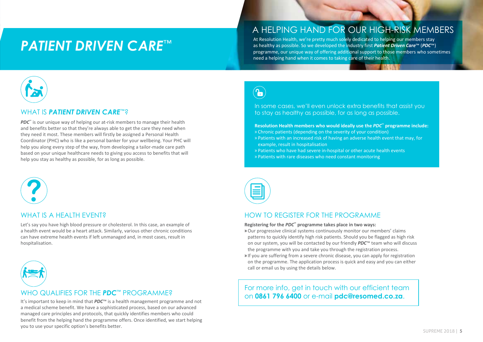### *Patient Driven Care*™

### A helping hand for our high-risk members

At Resolution Health, we're pretty much solely dedicated to helping our members stay as healthy as possible. So we developed the industry first *Patient Driven Care*™ (*PDC*™) programme, our unique way of offering additional support to those members who sometimes need a helping hand when it comes to taking care of their health.



### WHAT IS *PATIENT DRIVEN CARE*™?

*PDC*<sup>™</sup> is our unique way of helping our at-risk members to manage their health and benefits better so that they're always able to get the care they need when they need it most. These members will firstly be assigned a Personal Health Coordinator (PHC) who is like a personal banker for your wellbeing. Your PHC will help you along every step of the way, from developing a tailor-made care path based on your unique healthcare needs to giving you access to benefits that will help you stay as healthy as possible, for as long as possible.



### WHAT IS A HFAITH FVFNT?

Let's say you have high blood pressure or cholesterol. In this case, an example of a health event would be a heart attack. Similarly, various other chronic conditions can have extreme health events if left unmanaged and, in most cases, result in hospitalisation.



### WHO QUALIFIES FOR THE *PDC*™ PROGRAMME?

It's important to keep in mind that *PDC*™ is a health management programme and not a medical scheme benefit. We have a sophisticated process, based on our advanced managed care principles and protocols, that quickly identifies members who could benefit from the helping hand the programme offers. Once identified, we start helping you to use your specific option's benefits better.

 $\left(\textcolor{red}{\bullet}\right)$ 

In some cases, we'll even unlock extra benefits that assist you to stay as healthy as possible, for as long as possible.

#### **Resolution Health members who would ideally use the** *PDC***™ programme include:**

- » Chronic patients (depending on the severity of your condition)
- » Patients with an increased risk of having an adverse health event that may, for example, result in hospitalisation
- » Patients who have had severe in-hospital or other acute health events
- » Patients with rare diseases who need constant monitoring



### HOW TO REGISTER FOR THE PROGRAMME

**Registering for the** *PDC***™ programme takes place in two ways:**

- »Our progressive clinical systems continuously monitor our members' claims patterns to quickly identify high risk patients. Should you be flagged as high risk on our system, you will be contacted by our friendly *PDC*™ team who will discuss the programme with you and take you through the registration process.
- » If you are suffering from a severe chronic disease, you can apply for registration on the programme. The application process is quick and easy and you can either call or email us by using the details below.

For more info, get in touch with our efficient team on **0861 796 6400** or e-mail **pdc@resomed.co.za**.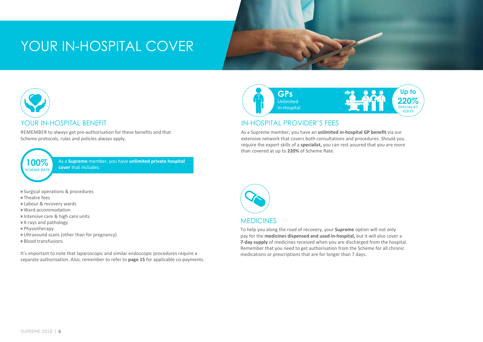### YOUR IN-HOSPITAL COVER



REMEMBER to always get pre-authorisation for these benefits and that Scheme protocols, rules and policies always apply.



**100%** As a **Supreme** member, you have **unlimited private hospital cover** that includes:

- » Surgical operations & procedures
- » Theatre fees
- » Labour & recovery wards
- » Ward accommodation
- » Intensive care & high care units
- » X-rays and pathology
- » Physiotherapy
- » Ultrasound scans (other than for pregnancy)
- » Blood transfusions

It's important to note that laparoscopic and similar endoscopic procedures require a separate authorisation. Also, remember to refer to **page 15** for applicable co-payments.



### IN-HOSPITAL PROVIDER'S FEES

As a Supreme member, you have an **unlimited in-hospital GP benefit** via our extensive network that covers both consultations and procedures. Should you require the expert skills of a **specialist,** you can rest assured that you are more than covered at up to **220%** of Scheme Rate.



To help you along the road of recovery, your **Supreme** option will not only pay for the **medicines dispensed and used in-hospital,** but it will also cover a **7-day supply** of medicines received when you are discharged from the hospital. Remember that you need to get authorisation from the Scheme for all chronic medications or prescriptions that are for longer than 7 days.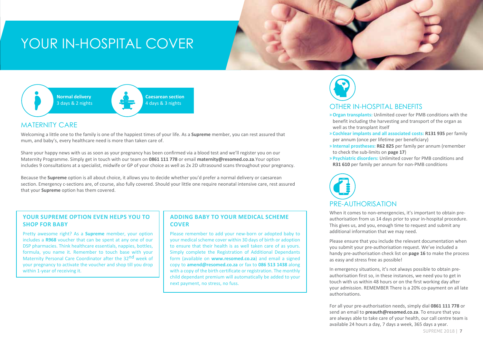### YOUR IN-HOSPITAL COVER



### MATERNITY CARE

Welcoming a little one to the family is one of the happiest times of your life. As a **Supreme** member, you can rest assured that mum, and baby's, every healthcare need is more than taken care of.

Share your happy news with us as soon as your pregnancy has been confirmed via a blood test and we'll register you on our Maternity Programme. Simply get in touch with our team on **0861 111 778** or email **maternity@resomed.co.za**.Your option includes 9 consultations at a specialist, midwife or GP of your choice as well as 2x 2D ultrasound scans throughout your pregnancy.

Because the **Supreme** option is all about choice, it allows you to decide whether you'd prefer a normal delivery or caesarean section. Emergency c-sections are, of course, also fully covered. Should your little one require neonatal intensive care, rest assured that your **Supreme** option has them covered.

#### **YOUR SUPREME OPTION EVEN HELPS YOU TO SHOP FOR BABY**

Pretty awesome right? As a **Supreme** member, your option includes a **R968** voucher that can be spent at any one of our DSP pharmacies. Think healthcare essentials, nappies, bottles, formula, you name it. Remember to touch base with your Maternity Personal Care Coordinator after the 32<sup>nd</sup> week of your pregnancy to activate the voucher and shop till you drop within 1-year of receiving it.

#### **ADDING BABY TO YOUR MEDICAL SCHEME COVER**

Please remember to add your new-born or adopted baby to your medical scheme cover within 30 days of birth or adoption to ensure that their health is as well taken care of as yours. Simply complete the Registration of Additional Dependants form (available on **www.resomed.co.za**) and email a signed copy to **amend@resomed.co.za** or fax to **086 513 1438** along with a copy of the birth certificate or registration. The monthly child dependant premium will automatically be added to your next payment, no stress, no fuss.



### OTHER IN-HOSPITAL BENEFITS

- »**Organ transplants:** Unlimited cover for PMB conditions with the benefit including the harvesting and transport of the organ as well as the transplant itself
- » **Cochlear implants and all associated costs: R131 935** per family per annum (once per lifetime per beneficiary)
- » **Internal prostheses: R62 825** per family per annum (remember to check the sub-limits on **page 17**)
- » **Psychiatric disorders:** Unlimited cover for PMB conditions and **R31 610** per family per annum for non-PMB conditions



When it comes to non-emergencies, it's important to obtain preauthorisation from us 14 days prior to your in-hospital procedure. This gives us, and you, enough time to request and submit any additional information that we may need.

Please ensure that you include the relevant documentation when you submit your pre-authorisation request. We've included a handy pre-authorisation check list on **page 16** to make the process as easy and stress free as possible!

In emergency situations, it's not always possible to obtain preauthorisation first so, in these instances, we need you to get in touch with us within 48 hours or on the first working day after your admission. REMEMBER There is a 20% co-payment on all late authorisations.

For all your pre-authorisation needs, simply dial **0861 111 778** or send an email to **preauth@resomed.co.za**. To ensure that you are always able to take care of your health, our call centre team is available 24 hours a day, 7 days a week, 365 days a year.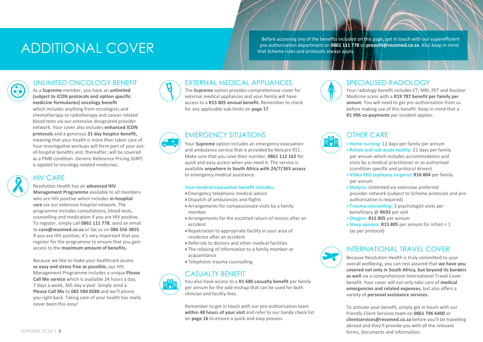### ADDITIONAL COVER

Before accessing any of the benefits included on this page, get in touch with our superefficient pre-authorisation department on **0861 111 778** or **preauth@resomed.co.za**. Also keep in mind that Scheme rules and protocols always apply.

### Unlimited oncology benefit

As a **Supreme** member, you have an **unlimited (subject to ICON protocols and option specific medicine formularies) oncology benefit** which includes anything from oncologists and chemotherapy to radiotherapy and cancer related blood tests via our extensive designated provider network. Your cover also includes **enhanced ICON protocols** and a generous **21 day hospice benefit,** meaning that your health is more than taken care of. Your investigative workups will form part of your outof-hospital benefits and, thereafter, will be covered as a PMB condition. Generic Reference Pricing (GRP) is applied to oncology-related medicines.



### HIV CARE

#### Resolution Health has an **advanced HIV**

**Management Programme** available to all members who are HIV positive which includes **in-hospital care** via our extensive hospital network. The programme includes consultations, blood tests, counselling and medication if you are HIV positive. To register, simply call **0861 111 778**, send an email to **care@resomed.co.za** or fax us on **086 556 3855**. If you are HIV positive, it's very important that you register for the programme to ensure that you gain access to the **maximum amount of benefits.**

Because we like to make your healthcare access **as easy and stress free as possible,** our HIV Management Programme includes a unique **Please Call Me service** which is available 24 hours a day, 7 days a week, 365 day a year. Simply send a **Please Call Me** to **082 584 0588** and we'll phone you right back. Taking care of your health has really never been this easy!



### EXTERNAL MEDICAL APPLIANCES

The **Supreme** option provides comprehensive cover for external medical appliances and your family will have access to a **R15 805 annual benefit.** Remember to check for any applicable sub-limits on **page 17**.

### EMERGENCY SITUATIONS

Your **Supreme** option includes an emergency evacuation and ambulance service that is provided by Netcare 911. Make sure that you save their number, **0861 112 162** for quick and easy access when you need it. The service is available **anywhere in South Africa with 24/7/365 access** to emergency medical assistance.

#### **Your medical evacuation benefit includes:**

- » Emergency telephonic medical advice
- » Dispatch of ambulances and flights
- » Arrangements for compassionate visits by a family member
- » Arrangements for the escorted return of minors after an accident
- » Repatriation to appropriate facility in your area of residence after an accident
- » Referrals to doctors and other medical facilities
- » The relaying of information to a family member or acquaintance
- » Telephonic trauma counselling

### CASUALTY BENEFIT



You also have access to a **R1 680 casualty benefit** per family per annum for the odd mishap that can be used for both clinician and facility fees.

Remember to get in touch with our pre-authorisation team **within 48 hours of your visit** and refer to our handy check list on **page 16** to ensure a quick and easy process.



### SPECIALISED RADIOLOGY

Your radiology benefit includes CT, MRI, PET and Nuclear Medicine scans with a **R19 787 benefit per family per annum**. You will need to get pre-authorisation from us before making use of this benefit. Keep in mind that a **R1 996 co-payments** per incident applies.



### OTHER CARE

- » **Home nursing:** 12 days per family per annum
- » **Rehab and sub-acute facility:** 21 days per family per annum which includes accommodation and visits by a medical practitioner or as authorised (condition specific and protocol driven)
- » **Video EEG (epilepsy surgery): R16 804** per family per annum
- » **Dialysis:** Unlimited via extensive preferred provider network (subject to Scheme protocols and preauthorisation is required)
- » **Trauma counselling:** 3 psychologist visits per beneficiary @ **R693** per visit
- »**Oxygen: R15 805** per annum
- » **Sleep apnoea: R15 805** per annum for infant < 1 (as per protocol)



### INTERNATIONAL TRAVEL COVER

Because Resolution Health is truly committed to your overall wellbeing, you can rest assured that **we have you covered not only in South Africa, but beyond its borders as well** via a comprehensive International Travel Cover benefit. Your cover will not only take care of **medical emergencies and related expenses,** but also offers a variety of **personal assistance services.** 

To activate your benefit, simply get in touch with our friendly Client Services team on **0861 796 6400** or **clientservices@resomed.co.za** before you'll be travelling abroad and they'll provide you with all the relevant forms, documents and information.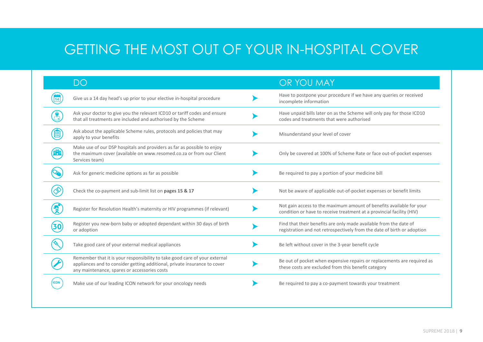### GETTING THE MOST OUT OF YOUR IN-HOSPITAL COVER

|   | DO                                                                                                                                                                                                      | OR YOU MAY                                                                                                                                    |
|---|---------------------------------------------------------------------------------------------------------------------------------------------------------------------------------------------------------|-----------------------------------------------------------------------------------------------------------------------------------------------|
|   | Give us a 14 day head's up prior to your elective in-hospital procedure                                                                                                                                 | Have to postpone your procedure if we have any queries or received<br>incomplete information                                                  |
|   | Ask your doctor to give you the relevant ICD10 or tariff codes and ensure<br>that all treatments are included and authorised by the Scheme                                                              | Have unpaid bills later on as the Scheme will only pay for those ICD10<br>codes and treatments that were authorised                           |
| 囯 | Ask about the applicable Scheme rules, protocols and policies that may<br>apply to your benefits                                                                                                        | Misunderstand your level of cover                                                                                                             |
|   | Make use of our DSP hospitals and providers as far as possible to enjoy<br>the maximum cover (available on www.resomed.co.za or from our Client<br>Services team)                                       | Only be covered at 100% of Scheme Rate or face out-of-pocket expenses                                                                         |
|   | Ask for generic medicine options as far as possible                                                                                                                                                     | Be required to pay a portion of your medicine bill                                                                                            |
|   | Check the co-payment and sub-limit list on pages 15 & 17                                                                                                                                                | Not be aware of applicable out-of-pocket expenses or benefit limits                                                                           |
|   | Register for Resolution Health's maternity or HIV programmes (if relevant)                                                                                                                              | Not gain access to the maximum amount of benefits available for your<br>condition or have to receive treatment at a provincial facility (HIV) |
|   | Register you new-born baby or adopted dependant within 30 days of birth<br>or adoption                                                                                                                  | Find that their benefits are only made available from the date of<br>registration and not retrospectively from the date of birth or adoption  |
|   | Take good care of your external medical appliances                                                                                                                                                      | Be left without cover in the 3-year benefit cycle                                                                                             |
|   | Remember that it is your responsibility to take good care of your external<br>appliances and to consider getting additional, private insurance to cover<br>any maintenance, spares or accessories costs | Be out of pocket when expensive repairs or replacements are required as<br>these costs are excluded from this benefit category                |
|   | Make use of our leading ICON network for your oncology needs                                                                                                                                            | Be required to pay a co-payment towards your treatment                                                                                        |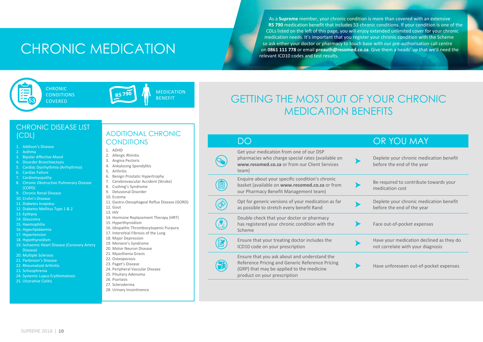### CHRONIC MEDICATION

As a **Supreme** member, your chronic condition is more than covered with an extensive **R5 790** medication benefit that includes 53 chronic conditions. If your condition is one of the CDLs listed on the left of this page, you will enjoy extended unlimited cover for your chronic medication needs. It's important that you register your chronic condition with the Scheme so ask either your doctor or pharmacy to touch base with our pre-authorisation call centre on **0861 111 778** or email **preauth@resomed.co.za**. Give them a heads' up that we'll need the relevant ICD10 codes and test results.



**CHRONIC CONDITIONS COVERED** 



MEDICATION<br>BENEFIT

**R**

值

### GETTING THE MOST OUT OF YOUR CHRONIC MEDICATION BENEFITS

### CHRONIC DISEASE LIST

- 1. Addison's Disease
- 2. Asthma
- 3. Bipolar Affective Mood
- 4. Disorder Bronchiectasis
- 5. Cardiac Dysrhythmia (Arrhythmia)
- 6. Cardiac Failure
- 7. Cardiomyopathy
- 8. Chronic Obstructive Pulmonary Disease (COPD)
- 9. Chronic Renal Disease
- 10. Crohn's Disease
- 11. Diabetes Insipidus
- 12. Diabetes Mellitus Type 1 & 2
- 13. Epilepsy
- 14. Glaucoma
- 15. Haemophilia
- 16. Hyperlipidaemia
- 17. Hypertension
- 18. Hypothyroidism
- 19. Ischaemic Heart Disease (Coronary Artery Disease)
- 20. Multiple Sclerosis
- 21. Parkinson's Disease
- 22. Rheumatoid Arthritis
- 23. Schizophrenia
- 24. Systemic Lupus Erythematosis
- 25. Ulcerative Colitis

### (CDL) ADDITIONAL CHRONIC **CONDITIONS**

- 1. ADHD
- 2. Allergic Rhinitis
- 3. Angina Pectoris
- 4. Ankylosing Spondylitis
- 5. Arthritis
- 6. Benign Prostatic Hypertrophy
- 7. Cerebrovascular Accident (Stroke)
- 8. Cushing's Syndrome
- 9. Delusional Disorder
- 10. Eczema

13. HIV

- 11. Gastro-Oesophageal Reflux Disease (GORD) 12. Gout
- 
- 
- 14. Hormone Replacement Therapy (HRT)
- 15. Hyperthyroidism
- 16. Idiopathic Thrombocytopenic Purpura
- 17. Interstitial Fibrosis of the Lung
- 18. Major Depression
- 19. Meniere's Syndrome
- 20. Motor Neuron Disease
- 21. Myasthenia Gravis
- 22. Osteoporosis
- 23. Paget's Disease
- 24. Peripheral Vascular Disease
- 25. Pituitary Adenoma 26. Psoriasis
- 27. Scleroderma
- 
- 28. Urinary Incontinence

#### DO **OR YOU MAY** Get your medication from one of our DSP pharmacies who charge special rates (available on Deplete your chronic medication benefit **www.resomed.co.za** or from our Client Services before the end of the year team) Enquire about your specific condition's chronic Be required to contribute towards your basket (available on **www.resomed.co.za** or from ▶ medication cost our Pharmacy Benefit Management team) Opt for generic versions of your medication as far Deplete your chronic medication benefit as possible to stretch every benefit Rand before the end of the year Double check that your doctor or pharmacy has registered your chronic condition with the Face out-of-pocket expenses Scheme

Ensure that your treating doctor includes the Have your medication declined as they do (図) ICD10 code on your prescription not correlate with your diagnosis Ensure that you ask about and understand the Reference Pricing and Generic Reference Pricing Have unforeseen out-of-pocket expenses(GRP) that may be applied to the medicine product on your prescription

supreme 2018 | **10**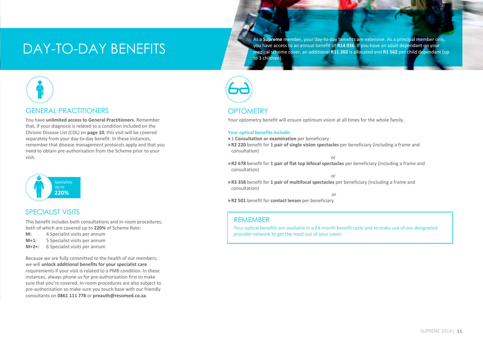### DAY-TO-DAY BENEFITS

As a **Supreme** member, your day-to-day benefits are extensive. As a principal member only, you have access to an annual benefit of **R14 936**. If you have an adult dependant on your medical scheme cover, an additional **R11 202** is allocated and **R1 562** per child dependant (up to 3 children).



You have **unlimited access to General Practitioners.** Remember that, if your diagnosis is related to a condition included on the Chronic Disease List (CDL) on **page 10**, this visit will be covered separately from your day-to-day benefit. In these instances, remember that disease management protocols apply and that you need to obtain pre-authorisation from the Scheme prior to your visit.



### SPECIALIST VISITS

This benefit includes both consultations and in-room procedures, both of which are covered up to **220%** of Scheme Rate:

- **M:** 4 Specialist visits per annum
- **M+1:** 5 Specialist visits per annum
- **M+2+:** 6 Specialist visits per annum

Because we are fully committed to the health of our members, we will **unlock additional benefits for your specialist care** requirements if your visit is related to a PMB condition. In these instances, always phone us for pre-authorisation first to make sure that you're covered. In-room procedures are also subject to pre-authorisation so make sure you touch base with our friendly consultants on **0861 111 778** or **preauth@resomed.co.za**.



### **OPTOMETRY**

Your optometry benefit will ensure optimum vision at all times for the whole family.

#### **Your optical benefits include:**

- » 1 **Consultation or examination** per beneficiary
- » **R2 220** benefit for **1 pair of single vision spectacles** per beneficiary (including a frame and consultation)

or

» **R2 678** benefit for **1 pair of flat top bifocal spectacles** per beneficiary (including a frame and consultation)

or

» **R3 358** benefit for **1 pair of multifocal spectacles** per beneficiary (including a frame and consultation)

or

» **R2 501** benefit for **contact lenses** per beneficiary

### REMEMBER

Your optical benefits are available in a 24-month benefit cycle and to make use of our designated provider network to get the most out of your cover.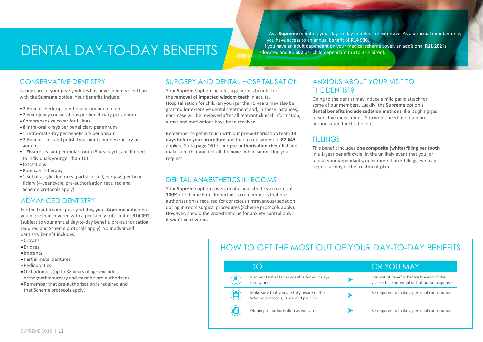### dental DAY-TO-DAY BENEFITS

As a **Supreme** member, your day-to-day benefits are extensive. As a principal member only, you have access to an annual benefit of **R14 936**. If you have an adult dependant on your medical scheme cover, an additional **R11 202** is allocated and **R1 562** per child dependant (up to 3 children).

### CONSERVATIVE DENTISTRY

Taking care of your pearly whites has never been easier than with the **Supreme** option. Your benefits include:

- » 2 Annual check-ups per beneficiary per annum
- » 2 Emergency consultations per beneficiary per annum
- » Comprehensive cover for fillings
- » 8 Intra-oral x-rays per beneficiary per annum
- » 1 Extra-oral x-ray per beneficiary per annum
- » 2 Annual scale and polish treatments per beneficiary per annum
- » 1 Fissure sealant per molar tooth (3-year cycle and limited to individuals younger than 16)
- » Extractions
- » Root canal therapy
- » 1 Set of acrylic dentures (partial or full, per jaw) per beneficiary (4-year cycle, pre-authorisation required and Scheme protocols apply)

### ADVANCED DENTISTRY

For the troublesome pearly whites, your **Supreme** option has you more than covered with a per family sub-limit of **R14 091** (subject to your annual day-to-day benefit, pre-authorisation required and Scheme protocols apply). Your advanced dentistry benefit includes:

- » Crowns
- » Bridges
- » Implants
- » Partial metal dentures
- » Pediodontics
- »Orthodontics (up to 38 years of age excludes
- orthognathic surgery and must be pre-authorised)
- » Remember that pre-authorisation is required and that Scheme protocols apply.

### SURGERY AND DENTAL HOSPITALISATION

Your **Supreme** option includes a generous benefit for the **removal of impacted wisdom teeth** in adults. Hospitalisation for children younger than 5 years may also be granted for extensive dental treatment and, in these instances, each case will be reviewed after all relevant clinical information, x-rays and motivations have been received.

Remember to get in touch with our pre-authorisation team **14 days before your procedure** and that a co-payment of **R2 643**  applies. Go to **page 16** for our **pre-authorisation check list** and make sure that you tick all the boxes when submitting your request.

### DENTAL ANAESTHETICS IN ROOMS

Your **Supreme** option covers dental anaesthetics in rooms at **100%** of Scheme Rate. Important to remember is that preauthorisation is required for conscious (intravenous) sedation during in-room surgical procedures (Scheme protocols apply). However, should the anaesthetic be for anxiety control only, it won't be covered.

### ANXIOUS ABOUT YOUR VISIT TO THE DENTIST?

Going to the dentist may induce a mild panic attack for some of our members. Luckily, the **Supreme** option's **dental benefits include sedation methods** like laughing gas or sedative medications. You won't need to obtain preauthorisation for this benefit.

### **FILLINGS**

This benefit includes **one composite (white) filling per tooth** in a 1-year benefit cycle. In the unlikely event that you, or one of your dependants, need more than 5 fillings, we may require a copy of the treatment plan.

### HOW TO GET THE MOST OUT OF YOUR DAY-TO-DAY RENEFITS

|   | D()                                                                               | OR YOU MAY                                                                                 |
|---|-----------------------------------------------------------------------------------|--------------------------------------------------------------------------------------------|
|   | Visit our DSP as far as possible for your day-<br>to-day needs                    | Run out of benefits before the end of the<br>year or face potential out-of-pocket expenses |
| 囯 | Make sure that you are fully aware of the<br>Scheme protocols, rules and policies | Be required to make a personal contribution                                                |
|   | Obtain pre-authorisation as indicated                                             | Be required to make a personal contribution                                                |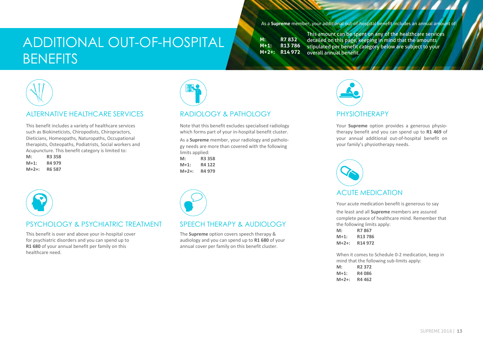### additional out-of-hospital **BENEFITS**

As a **Supreme** member, your additional out-of-hospital benefit includes an annual amount of:

**M: R7 832 M+1: R13 786 M+2+: R14 972**

This amount can be spent on any of the healthcare services detailed on this page, keeping in mind that the amounts stipulated per benefit category below are subject to your overall annual benefit.



### ALTERNATIVE HEALTHCARE SERVICES

This benefit includes a variety of healthcare services such as Biokineticists, Chiropodists, Chiropractors, Dieticians, Homeopaths, Naturopaths, Occupational therapists, Osteopaths, Podiatrists, Social workers and Acupuncture. This benefit category is limited to:

**M: R3 358 M+1: R4 979 M+2+: R6 587**



### RADIOLOGY & PATHOLOGY

Note that this benefit excludes specialised radiology which forms part of your in-hospital benefit cluster.

As a **Supreme** member, your radiology and pathology needs are more than covered with the following limits applied:

**M: R3 358 M+1: R4 122 M+2+: R4 979**



### PSYCHOLOGY & PSYCHIATRIC TREATMENT

This benefit is over and above your in-hospital cover for psychiatric disorders and you can spend up to **R1 680** of your annual benefit per family on this healthcare need.



### SPEECH THERAPY & AUDIOLOGY

The **Supreme** option covers speech therapy & audiology and you can spend up to **R1 680** of your annual cover per family on this benefit cluster.



### PHYSIOTHERAPY

Your **Supreme** option provides a generous physiotherapy benefit and you can spend up to **R1 469** of your annual additional out-of-hospital benefit on your family's physiotherapy needs.



Your acute medication benefit is generous to say

the least and all **Supreme** members are assured complete peace of healthcare mind. Remember that the following limits apply:

**M: R7 867 M+1: R13 786 M+2+: R14 972**

When it comes to Schedule 0-2 medication, keep in mind that the following sub-limits apply:

| M:     | R <sub>2</sub> 372 |
|--------|--------------------|
| $M+1:$ | R4 086             |
| M+2+:  | R4 462             |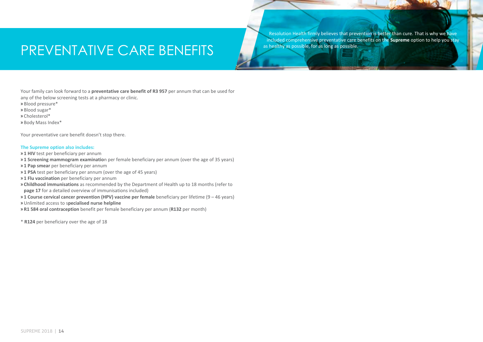### PREVENTATIVE CARE BENEFITS

Resolution Health firmly believes that prevention is better than cure. That is why we have included comprehensive preventative care benefits on the **Supreme** option to help you stay as healthy as possible, for as long as possible.

Your family can look forward to a **preventative care benefit of R3 957** per annum that can be used for any of the below screening tests at a pharmacy or clinic.

- » Blood pressure\*
- » Blood sugar\*
- » Cholesterol\*
- » Body Mass Index\*

Your preventative care benefit doesn't stop there.

#### **The Supreme option also includes:**

- » **1 HIV** test per beneficiary per annum
- » **1 Screening mammogram examinatio**n per female beneficiary per annum (over the age of 35 years)
- » **1 Pap smear** per beneficiary per annum
- » **1 PSA** test per beneficiary per annum (over the age of 45 years)
- » **1 Flu vaccination** per beneficiary per annum
- » **Childhood immunisations** as recommended by the Department of Health up to 18 months (refer to **page 17** for a detailed overview of immunisations included)
- 
- » **1 Course cervical cancer prevention (HPV) vaccine per female** beneficiary per lifetime (9 46 years)
- » Unlimited access to s**pecialised nurse helpline**
- » **R1 584 oral contraception** benefit per female beneficiary per annum (**R132** per month)

\* **R124** per beneficiary over the age of 18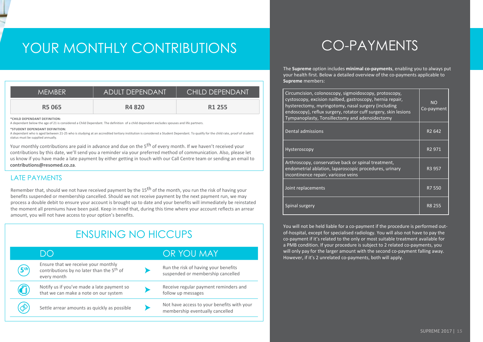### YOUR MONTHLY CONTRIBUTIONS

| MEMBER.      | <b>ADULT DEPENDANT</b> | CHILD DEPENDANT    |
|--------------|------------------------|--------------------|
| <b>R5065</b> | <b>R4820</b>           | R <sub>1</sub> 255 |

#### **\*Student Dependant Definition:**

### LATE PAYMENTS

### ENSURING NO Hiccups

|                                                                                                                                                                                                                                                      | *CHILD DEPENDANT DEFINITION:<br>A dependant below the age of 21 is considered a Child Dependant. The definition of a child dependant excludes spouses and life partners.                                                                                                                                 |  |                                                                               | Tympanopiasty, Tonsillectomy and adenoidectomy                                                                                                                                                                                                                                                                                        |                    |
|------------------------------------------------------------------------------------------------------------------------------------------------------------------------------------------------------------------------------------------------------|----------------------------------------------------------------------------------------------------------------------------------------------------------------------------------------------------------------------------------------------------------------------------------------------------------|--|-------------------------------------------------------------------------------|---------------------------------------------------------------------------------------------------------------------------------------------------------------------------------------------------------------------------------------------------------------------------------------------------------------------------------------|--------------------|
| *STUDENT DEPENDANT DEFINITION:<br>A dependant who is aged between 21-25 who is studying at an accredited tertiary institution is considered a Student Dependant. To qualify for the child rate, proof of student<br>status must be supplied annually |                                                                                                                                                                                                                                                                                                          |  | Dental admissions                                                             | R <sub>2</sub> 642                                                                                                                                                                                                                                                                                                                    |                    |
|                                                                                                                                                                                                                                                      | Your monthly contributions are paid in advance and due on the 5 <sup>th</sup> of every month. If we haven't received your<br>contributions by this date, we'll send you a reminder via your preferred method of communication. Also, please let                                                          |  |                                                                               | Hysteroscopy                                                                                                                                                                                                                                                                                                                          | R <sub>2</sub> 971 |
|                                                                                                                                                                                                                                                      | us know if you have made a late payment by either getting in touch with our Call Centre team or sending an email to<br>contributions@resomed.co.za.                                                                                                                                                      |  |                                                                               | Arthroscopy, conservative back or spinal treatment,<br>endometrial ablation, laparoscopic procedures, urinary                                                                                                                                                                                                                         | R3 957             |
|                                                                                                                                                                                                                                                      | <b>LATE PAYMENTS</b>                                                                                                                                                                                                                                                                                     |  |                                                                               | incontinence repair, varicose veins                                                                                                                                                                                                                                                                                                   |                    |
|                                                                                                                                                                                                                                                      | Remember that, should we not have received payment by the 15 <sup>th</sup> of the month, you run the risk of having your<br>benefits suspended or membership cancelled. Should we not receive payment by the next payment run, we may                                                                    |  |                                                                               | Joint replacements                                                                                                                                                                                                                                                                                                                    | R7 550             |
|                                                                                                                                                                                                                                                      | process a double debit to ensure your account is brought up to date and your benefits will immediately be reinstated<br>the moment all premiums have been paid. Keep in mind that, during this time where your account reflects an arrear<br>amount, you will not have access to your option's benefits. |  |                                                                               | Spinal surgery                                                                                                                                                                                                                                                                                                                        | R8 255             |
|                                                                                                                                                                                                                                                      | <b>ENSURING NO HICCUPS</b>                                                                                                                                                                                                                                                                               |  |                                                                               | You will not be held liable for a co-payment if the procedure is performed out-<br>of-hospital, except for specialised radiology. You will also not have to pay the<br>co-payment if it's related to the only or most suitable treatment available for<br>a PMB condition. If your procedure is subject to 2 related co-payments, you |                    |
|                                                                                                                                                                                                                                                      | <b>DO</b>                                                                                                                                                                                                                                                                                                |  | OR YOU MAY                                                                    | will only pay for the larger amount with the second co-payment falling away.<br>However, if it's 2 unrelated co-payments, both will apply.                                                                                                                                                                                            |                    |
| 5 <sup>th</sup>                                                                                                                                                                                                                                      | Ensure that we receive your monthly<br>contributions by no later than the 5 <sup>th</sup> of<br>every month                                                                                                                                                                                              |  | Run the risk of having your benefits<br>suspended or membership cancelled     |                                                                                                                                                                                                                                                                                                                                       |                    |
|                                                                                                                                                                                                                                                      | Notify us if you've made a late payment so<br>that we can make a note on our system                                                                                                                                                                                                                      |  | Receive regular payment reminders and<br>follow up messages                   |                                                                                                                                                                                                                                                                                                                                       |                    |
|                                                                                                                                                                                                                                                      | Settle arrear amounts as quickly as possible                                                                                                                                                                                                                                                             |  | Not have access to your benefits with your<br>membership eventually cancelled |                                                                                                                                                                                                                                                                                                                                       |                    |
|                                                                                                                                                                                                                                                      |                                                                                                                                                                                                                                                                                                          |  |                                                                               |                                                                                                                                                                                                                                                                                                                                       | SUPREME 2017       |
|                                                                                                                                                                                                                                                      |                                                                                                                                                                                                                                                                                                          |  |                                                                               |                                                                                                                                                                                                                                                                                                                                       |                    |

### Co-payments

The **Supreme** option includes **minimal co-payments**, enabling you to always put your health first. Below a detailed overview of the co-payments applicable to **Supreme** members:

| Circumcision, colonoscopy, sigmoidoscopy, protoscopy,<br>cystoscopy, excision nailbed, gastroscopy, hernia repair,<br>hysterectomy, myringotomy, nasal surgery (including<br>endoscopy), reflux surgery, rotator cuff surgery, skin lesions<br>Tympanoplasty, Tonsillectomy and adenoidectomy | <b>NO</b><br>Co-payment |
|-----------------------------------------------------------------------------------------------------------------------------------------------------------------------------------------------------------------------------------------------------------------------------------------------|-------------------------|
| Dental admissions                                                                                                                                                                                                                                                                             | R <sub>2</sub> 642      |
| Hysteroscopy                                                                                                                                                                                                                                                                                  | R <sub>2</sub> 971      |
| Arthroscopy, conservative back or spinal treatment,<br>endometrial ablation, laparoscopic procedures, urinary<br>incontinence repair, varicose veins                                                                                                                                          | R3 957                  |
| Joint replacements                                                                                                                                                                                                                                                                            | R7 550                  |
| Spinal surgery                                                                                                                                                                                                                                                                                | R8 255                  |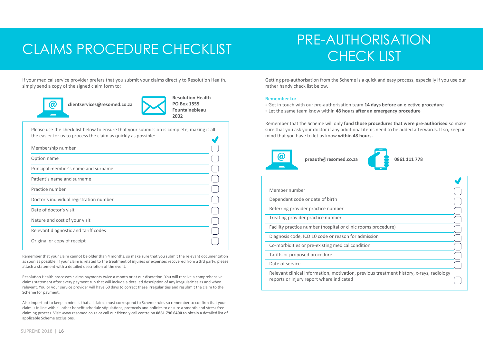### CLAIMS PROCEDURE CHECKLIST THE MULTICING

# PRE-AUTHORISATION

If your medical service provider prefers that you submit your claims directly to Resolution Health, simply send a copy of the signed claim form to:



**Resolution Health PO Box 1555 Fountainebleau 2032**

Please use the check list below to ensure that your submission is complete, making it all the easier for us to process the claim as quickly as possible:  $\overline{\phantom{a}}$ 

| Membership number                       |  |
|-----------------------------------------|--|
| Option name                             |  |
| Principal member's name and surname     |  |
| Patient's name and surname              |  |
| Practice number                         |  |
| Doctor's individual registration number |  |
| Date of doctor's visit                  |  |
| Nature and cost of your visit           |  |
| Relevant diagnostic and tariff codes    |  |
| Original or copy of receipt             |  |

Remember that your claim cannot be older than 4 months, so make sure that you submit the relevant documentation as soon as possible. If your claim is related to the treatment of injuries or expenses recovered from a 3rd party, please attach a statement with a detailed description of the event.

Resolution Health processes claims payments twice a month or at our discretion. You will receive a comprehensive claims statement after every payment run that will include a detailed description of any irregularities as and when relevant. You or your service provider will have 60 days to correct these irregularities and resubmit the claim to the Scheme for payment.

Also important to keep in mind is that all claims must correspond to Scheme rules so remember to confirm that your claim is in line with all other benefit schedule stipulations, protocols and policies to ensure a smooth and stress free claiming process. Visit www.resomed.co.za or call our friendly call centre on **0861 796 6400** to obtain a detailed list of applicable Scheme exclusions.

Getting pre-authorisation from the Scheme is a quick and easy process, especially if you use our rather handy check list below.

#### **Remember to:**

» Get in touch with our pre-authorisation team **14 days before an elective procedure** » Let the same team know within **48 hours after an emergency procedure**

Remember that the Scheme will only **fund those procedures that were pre-authorised** so make sure that you ask your doctor if any additional items need to be added afterwards. If so, keep in mind that you have to let us know **within 48 hours.**





| Member number                                                                                                                        |  |
|--------------------------------------------------------------------------------------------------------------------------------------|--|
| Dependant code or date of birth                                                                                                      |  |
| Referring provider practice number                                                                                                   |  |
| Treating provider practice number                                                                                                    |  |
| Facility practice number (hospital or clinic rooms procedure)                                                                        |  |
| Diagnosis code, ICD 10 code or reason for admission                                                                                  |  |
| Co-morbidities or pre-existing medical condition                                                                                     |  |
| Tariffs or proposed procedure                                                                                                        |  |
| Date of service                                                                                                                      |  |
| Relevant clinical information, motivation, previous treatment history, x-rays, radiology<br>reports or injury report where indicated |  |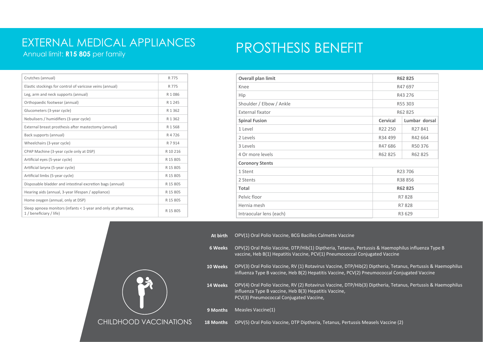### EXTERNAL MEDICAL APPLIANCES

Annual limit: **R15 805** per family

### PROSTHESIS BENEFIT

| R 775     |
|-----------|
| R 775     |
| R1086     |
| R 1 2 4 5 |
| R 1 3 6 2 |
| R 1 3 6 2 |
| R 1 568   |
| R 4 7 2 6 |
| R 7 9 1 4 |
| R 10 216  |
| R 15 805  |
| R 15 805  |
| R 15 805  |
| R 15 805  |
| R 15 805  |
| R 15 805  |
| R 15 805  |
|           |

| Overall plan limit       |          | R62 825       |  |
|--------------------------|----------|---------------|--|
| Knee                     |          | R47 697       |  |
| Hip                      |          | R43 276       |  |
| Shoulder / Elbow / Ankle |          | R55 303       |  |
| External fixator         |          | R62 825       |  |
| <b>Spinal Fusion</b>     | Cervical | Lumbar dorsal |  |
| 1 Level                  | R22 250  | R27841        |  |
| 2 Levels                 | R34 499  | R42 664       |  |
| 3 Levels                 | R47686   | R50 376       |  |
| 4 Or more levels         | R62 825  | R62 825       |  |
| <b>Coronory Stents</b>   |          |               |  |
| 1 Stent                  |          | R23 706       |  |
| 2 Stents                 |          | R38 856       |  |
| Total                    |          | R62 825       |  |
| Pelvic floor             |          | R7828         |  |
| Hernia mesh              |          | R7828         |  |
| Intraocular lens (each)  |          | R3 629        |  |



**At birth** OPV(1) Oral Polio Vaccine, BCG Bacilles Calmette Vaccine

- **6 Weeks** OPV(2) Oral Polio Vaccine, DTP/Hib(1) Diptheria, Tetanus, Pertussis & Haemophilus influenza Type B vaccine, Heb B(1) Hepatitis Vaccine, PCV(1) Pneumococcal Conjugated Vaccine
- **10 Weeks** OPV(3) Oral Polio Vaccine, RV (1) Rotavirus Vaccine, DTP/Hib(2) Diptheria, Tetanus, Pertussis & Haemophilus influenza Type B vaccine, Heb B(2) Hepatitis Vaccine, PCV(2) Pneumococcal Conjugated Vaccine
- **14 Weeks** OPV(4) Oral Polio Vaccine, RV (2) Rotavirus Vaccine, DTP/Hib(3) Diptheria, Tetanus, Pertussis & Haemophilus influenza Type B vaccine, Heb B(3) Hepatitis Vaccine, PCV(3) Pneumococcal Conjugated Vaccine,

**9 Months** Measles Vaccine(1)

**18 Months** OPV(5) Oral Polio Vaccine, DTP Diptheria, Tetanus, Pertussis Measels Vaccine (2)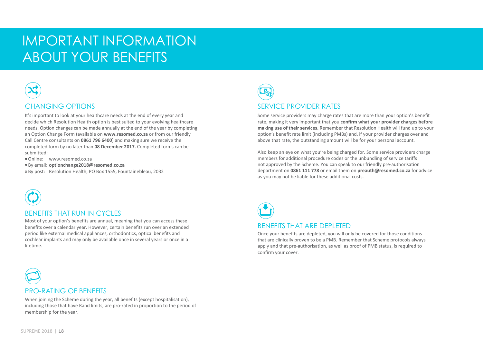### important information about your benefits



It's important to look at your healthcare needs at the end of every year and decide which Resolution Health option is best suited to your evolving healthcare needs. Option changes can be made annually at the end of the year by completing an Option Change Form (available on **www.resomed.co.za** or from our friendly Call Centre consultants on **0861 796 6400**) and making sure we receive the completed form by no later than **08 December 2017.** Completed forms can be submitted:

- »Online: www.resomed.co.za
- » By email: **optionchange2018@resomed.co.za**
- » By post: Resolution Health, PO Box 1555, Fountainebleau, 2032



### BENEFITS THAT RUN IN CYCLES

Most of your option's benefits are annual, meaning that you can access these benefits over a calendar year. However, certain benefits run over an extended period like external medical appliances, orthodontics, optical benefits and cochlear implants and may only be available once in several years or once in a lifetime.



Some service providers may charge rates that are more than your option's benefit rate, making it very important that you **confirm what your provider charges before making use of their services.** Remember that Resolution Health will fund up to your option's benefit rate limit (including PMBs) and, if your provider charges over and above that rate, the outstanding amount will be for your personal account.

Also keep an eye on what you're being charged for. Some service providers charge members for additional procedure codes or the unbundling of service tariffs not approved by the Scheme. You can speak to our friendly pre-authorisation department on **0861 111 778** or email them on **preauth@resomed.co.za** for advice as you may not be liable for these additional costs.



#### BENEFITS THAT ARE DEPLETED

Once your benefits are depleted, you will only be covered for those conditions that are clinically proven to be a PMB. Remember that Scheme protocols always apply and that pre-authorisation, as well as proof of PMB status, is required to confirm your cover.

### PRO-RATING OF BENEFITS

including those that have Rand limits, are pro-rated in proportion to the period of mombership for the vear When joining the Scheme during the year, all benefits (except hospitalisation), membership for the year.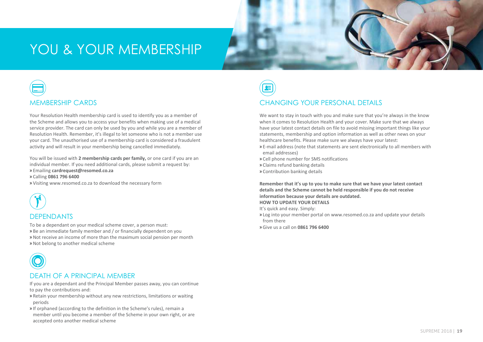### YOU & YOUR MEMBERSHIP

# MEMBERSHIP CARDS

Your Resolution Health membership card is used to identify you as a member of the Scheme and allows you to access your benefits when making use of a medical service provider. The card can only be used by you and while you are a member of Resolution Health. Remember, it's illegal to let someone who is not a member use your card. The unauthorised use of a membership card is considered a fraudulent activity and will result in your membership being cancelled immediately.

You will be issued with **2 membership cards per family,** or one card if you are an individual member. If you need additional cards, please submit a request by: » Emailing **cardrequest@resomed.co.za**

» Calling **0861 796 6400**

» Visiting www.resomed.co.za to download the necessary form



### **DEPENDANTS**

To be a dependant on your medical scheme cover, a person must: » Be an immediate family member and / or financially dependent on you » Not receive an income of more than the maximum social pension per month » Not belong to another medical scheme



### DEATH OF A PRINCIPAL MEMBER

- If you are a dependant and the Principal Member passes away, you can continue to pay the contributions and:
- » Retain your membership without any new restrictions, limitations or waiting periods
- » If orphaned (according to the definition in the Scheme's rules), remain a member until you become a member of the Scheme in your own right, or are accepted onto another medical scheme

**IN HOSPITAL PROVIDER'S FEES**

### CHANGING YOUR PERSONAL DETAILS

We want to stay in touch with you and make sure that you're always in the know when it comes to Resolution Health and your cover. Make sure that we always have your latest contact details on file to avoid missing important things like your statements, membership and option information as well as other news on your healthcare benefits. Please make sure we always have your latest:

- » E-mail address (note that statements are sent electronically to all members with email addresses)
- » Cell phone number for SMS notifications
- » Claims refund banking details
- » Contribution banking details

**Remember that it's up to you to make sure that we have your latest contact details and the Scheme cannot be held responsible if you do not receive information because your details are outdated. HOW TO UPDATE YOUR DETAILS**

It's quick and easy. Simply:

- » Log into your member portal on www.resomed.co.za and update your details from there
- » Give us a call on **0861 796 6400**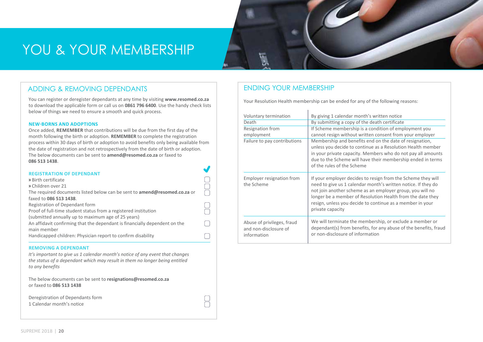### YOU & YOUR MEMBERSHIP



You can register or deregister dependants at any time by visiting **www.resomed.co.za** to download the applicable form or call us on **0861 796 6400**. Use the handy check lists below of things we need to ensure a smooth and quick process.

#### **New-borns and adoptions**

Once added, **remember** that contributions will be due from the first day of the month following the birth or adoption. **REMEMBER** to complete the registration process within 30 days of birth or adoption to avoid benefits only being available from the date of registration and not retrospectively from the date of birth or adoption. The below documents can be sent to **amend@resomed.co.za** or faxed to **086 513 1438**.

 $\begin{matrix} 0 \\ 0 \end{matrix}$ 

 $\Box$ 

 $\bigcap$ 

 $\bigcap$ 

 $\Box$ 

| <b>REGISTRATION OF DEPENDANT</b>                                                 |
|----------------------------------------------------------------------------------|
| » Birth certificate                                                              |
| » Children over 21                                                               |
| The required documents listed below can be sent to <b>amend@resomed.co.za</b> or |
| faxed to 086 513 1438.                                                           |
| Registration of Dependant form                                                   |
| Proof of full-time student status from a registered institution                  |
| (submitted annually up to maximum age of 25 years)                               |
| An affidavit confirming that the dependant is financially dependent on the       |
| main member                                                                      |
| Handicapped children: Physician report to confirm disability                     |
|                                                                                  |

#### **Removing a dependant**

*It's important to give us 1 calendar month's notice of any event that changes the status of a dependant which may result in them no longer being entitled to any benefits* 

The below documents can be sent to **resignations@resomed.co.za** or faxed to **086 513 1438** 

Deregistration of Dependants form 1 Calendar month's notice

### ENDING YOUR MEMBERSHIP

Your Resolution Health membership can be ended for any of the following reasons:

| Voluntary termination<br>Death<br>Resignation from<br>employment<br>Failure to pay contributions | By giving 1 calendar month's written notice<br>By submitting a copy of the death certificate<br>If Scheme membership is a condition of employment you<br>cannot resign without written consent from your employer<br>Membership and benefits end on the date of resignation,<br>unless you decide to continue as a Resolution Health member<br>in your private capacity. Members who do not pay all amounts<br>due to the Scheme will have their membership ended in terms<br>of the rules of the Scheme |
|--------------------------------------------------------------------------------------------------|----------------------------------------------------------------------------------------------------------------------------------------------------------------------------------------------------------------------------------------------------------------------------------------------------------------------------------------------------------------------------------------------------------------------------------------------------------------------------------------------------------|
| Employer resignation from<br>the Scheme                                                          | If your employer decides to resign from the Scheme they will<br>need to give us 1 calendar month's written notice. If they do<br>not join another scheme as an employer group, you will no<br>longer be a member of Resolution Health from the date they<br>resign, unless you decide to continue as a member in your<br>private capacity                                                                                                                                                                |
| Abuse of privileges, fraud<br>and non-disclosure of<br>information                               | We will terminate the membership, or exclude a member or<br>dependant(s) from benefits, for any abuse of the benefits, fraud<br>or non-disclosure of information                                                                                                                                                                                                                                                                                                                                         |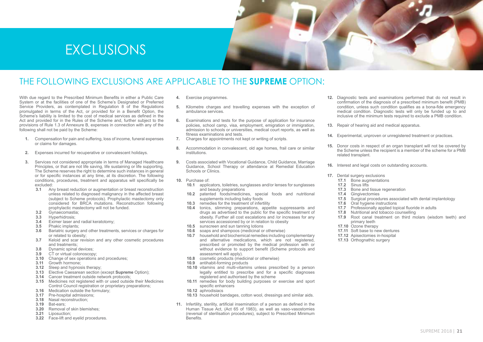



### The following exclusions are applicable to the **Supreme** option:

With due regard to the Prescribed Minimum Benefits in either a Public Care System or at the facilities of one of the Scheme's Designated or Preferred Service Providers, as contemplated in Regulation 8 of the Regulations promulgated in terms of the Act, or provided for in a Benefit Option, the Scheme's liability is limited to the cost of medical services as defined in the Act and provided for in the Rules of the Scheme and, further subject to the provisions of Rule 1.3 of Annexure B, expenses in connection with any of the following shall not be paid by the Scheme:

- **1.** Compensation for pain and suffering, loss of income, funeral expenses or claims for damages.
- **2.** Expenses incurred for recuperative or convalescent holidays.
- **3.** Services not considered appropriate in terms of Managed Healthcare Principles, or that are not life saving, life sustaining or life supporting, The Scheme reserves the right to determine such instances in general or for specific instances at any time, at its discretion. The following conditions, procedures, treatment and apparatus will specifically be excluded:
	- **3.1** Any breast reduction or augmentation or breast reconstruction unless related to diagnosed malignancy in the affected breast (subject to Scheme protocols). Prophylactic mastectomy only considered for BRCA mutations. Reconstruction following prophylactic mastectomy will not be funded.
	- **3.2** Gynaecomastia;
	- **3.3** Hyperhidrosis;<br>**3.4** Eximer laser a
	- **3.4** Eximer laser and radial keratotomy;
	- **3.5** Phakic implants;
	- **3.6** Bariatric surgery and other treatments, services or charges for or related to obesity;
	- **3.7** Keloid and scar revision and any other cosmetic procedures and treatments;
	- **3.8** Dynamic spinal devices;
	- **3.9** CT or virtual colonoscopy;
	- **3.10** Change of sex operations and procedures:
	- **3.11** Growth hormone;
	- **3.12** Sleep and hypnosis therapy;
	- **3.13** Elective Caesarean section (except **Supreme** Option);
	- **3.14** Cancer treatment outside network protocols;
	- **3.15** Medicines not registered with or used outside their Medicines Control Council registration or proprietary preparations:
	- **3.16** Medication outside the formulary;
	- **3.17** Pre-hospital admissions;
	- **3.18** Nasal reconstruction; **3.19** Bat-ears;
	-
	- **3.20** Removal of skin blemishes;
	- **3.21** Liposuction;
	- **3.22** Face-lift and eyelid procedures.
- **4.** Exercise programmes.
- **5.** Kilometre charges and travelling expenses with the exception of ambulance services.
- **6.** Examinations and tests for the purpose of application for insurance policies, school camp, visa, employment, emigration or immigration, admission to schools or universities, medical court reports, as well as fitness examinations and tests.
- **7.** Charges for appointments not kept or writing of scripts.
- **8.** Accommodation in convalescent, old age homes, frail care or similar institutions.
- **9.** Costs associated with Vocational Guidance, Child Guidance, Marriage Guidance, School Therapy or attendance at Remedial Education Schools or Clinics.
- **10.** Purchase of:
	- **10.1** applicators, toiletries, sunglasses and/or lenses for sunglasses and beauty preparations
	- **10.2** patented foods/medicines, special foods and nutritional supplements including baby foods
	- **10.3** remedies for the treatment of infertility<br>**10.4** tonics slimming preparations appe
	- **10.4** tonics, slimming preparations, appetite suppressants and drugs as advertised to the public for the specific treatment of obesity. Further all cost escalations and /or increases for any services accessioned by or in relation to obesity
	- **10.5** sunscreen and sun tanning lotions
	- **10.6** soaps and shampoos (medicinal or otherwise)
	- **10.7** household and biochemical remedies including complementary and alternative medications, which are not registered, prescribed or promoted by the medical profession with or without evidence to support benefit (Scheme protocols and assessment will apply).
	- **10.8** cosmetic products (medicinal or otherwise)
	- **10.9** antihabit-forming products
	- **10.10** vitamins and multi-vitamins unless prescribed by a person legally entitled to prescribe and for a specific diagnoses registered and authorised by the scheme
	- **10.11** remedies for body building purposes or exercise and sport specific enhancers
	- **10.12** aphrodisiacs
	- **10.13** household bandages, cotton wool, dressings and similar aids.
- **11.** Infertility, sterility, artificial insemination of a person as defined in the Human Tissue Act, (Act 65 of 1983), as well as vaso-vasostomies (reversal of sterilisation procedures), subject to Prescribed Minimum **Benefits**
- **12.** Diagnostic tests and examinations performed that do not result in confirmation of the diagnosis of a prescribed minimum benefit (PMB) condition, unless such condition qualifies as a bona-fide emergency medical condition. Diagnostic tests will only be funded up to and inclusive of the minimum tests required to exclude a PMB condition.
- **13.** Repair of hearing aid and medical apparatus.
- 14. Experimental, unproven or unregistered treatment or practices.
- **15.** Donor costs in respect of an organ transplant will not be covered by the Scheme unless the recipient is a member of the scheme for a PMB related transplant.
- **16.** Interest and legal costs on outstanding accounts.
- **17.** Dental surgery exclusions
	- **17.1** Bone augmentations
	- **17.2** Sinus lifts
	- **17.3** Bone and tissue regeneration
	- **17.4** Gingivectomies
	- **17.5** Surgical procedures associated with dental implantology
	- **17.6** Oral hygiene instructions
	- **17.7** Professionally applied topical fluoride in adults
	- **17.8** Nutritional and tobacco counselling
	- **17.9** Root canal treatment on third molars (wisdom teeth) and primary teeth
	- **17.10** Ozone therapy
	- **17.11** Soft base to new dentures
	- **17.12** Apisectomies in-hospital
	- **17.13** Orthognathic surgery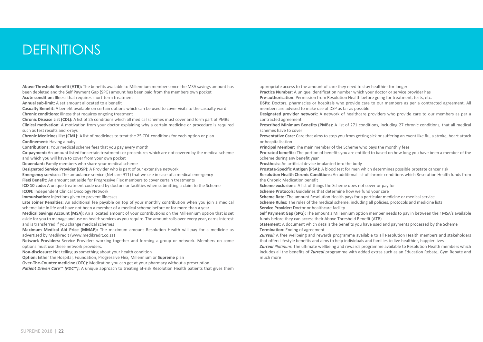### **DEFINITIONS**

**Above Threshold Benefit (ATB):** The benefits available to Millennium members once the MSA savings amount has been depleted and the Self Payment Gap (SPG) amount has been paid from the members own pocket

**Acute condition:** Illness that requires short-term treatment

**Annual sub-limit:** A set amount allocated to a benefit

**Casualty Benefit:** A benefit available on certain options which can be used to cover visits to the casualty ward **Chronic conditions:** Illness that requires ongoing treatment

**Chronic Disease List (CDL):** A list of 25 conditions which all medical schemes must cover and form part of PMBs **Clinical motivation:** A motivation from your doctor explaining why a certain medicine or procedure is required such as test results and x-rays

**Chronic Medicines List (CML):** A list of medicines to treat the 25 CDL conditions for each option or plan **Confinement:** Having a baby

**Contributions:** Your medical scheme fees that you pay every month

**Co-payment:** An amount listed for certain treatments or procedures which are not covered by the medical scheme and which you will have to cover from your own pocket

**Dependant:** Family members who share your medical scheme

**Designated Service Provider (DSP):** A Provider who is part of our extensive network

**Emergency services:** The ambulance service (Netcare 911) that we use in case of a medical emergency **Flexi Benefit:** An amount set aside for Progressive Flex members to cover certain treatments

**ICD 10 code:** A unique treatment code used by doctors or facilities when submitting a claim to the Scheme

**ICON:** Independent Clinical Oncology Network

**Immunisation:** Injections given to prevent illnesses

**Late Joiner Penalties:** An additional fee payable on top of your monthly contribution when you join a medical scheme late in life and have not been a member of a medical scheme before or for more than a year

**Medical Savings Account (MSA):** An allocated amount of your contributions on the Millennium option that is set aside for you to manage and use on health services as you require. The amount rolls over every year, earns interest and is transferred if you change medical schemes

**Maximum Medical Aid Price (MMAP):** The maximum amount Resolution Health will pay for a medicine as advertised by Medikredit (www.medikredit.co.za)

**Network Providers:** Service Providers working together and forming a group or network. Members on some options must use these network providers.

**Non-disclosure:** Not telling us something about your health condition

**Option:** Either the Hospital, Foundation, Progressive Flex, Millennium or **Supreme** plan

**Over-The-Counter medicine (OTC):** Medication you can get at your pharmacy without a prescription

*Patient Driven Care™ (PDC<sup>™</sup>)*: A unique approach to treating at-risk Resolution Health patients that gives them

appropriate access to the amount of care they need to stay healthier for longer

**Practice Number:** A unique identification number which your doctor or service provider has

**Pre-authorisation:** Permission from Resolution Health before going for treatment, tests, etc.

**DSPs:** Doctors, pharmacies or hospitals who provide care to our members as per a contracted agreement. All members are advised to make use of DSP as far as possible

**Designated provider network:** A network of healthcare providers who provide care to our members as per a contracted agreement

**Prescribed Minimum Benefits (PMBs):** A list of 271 conditions, including 27 chronic conditions, that all medical schemes have to cover

**Preventative Care:** Care that aims to stop you from getting sick or suffering an event like flu, a stroke, heart attack or hospitalisation

**Principal Member:** The main member of the Scheme who pays the monthly fees

**Pro-rated benefits:** The portion of benefits you are entitled to based on how long you have been a member of the Scheme during any benefit year

**Prosthesis:** An artificial device implanted into the body

**Prostate-Specific Antigen (PSA):** A blood test for men which determines possible prostate cancer risk

**Resolution Health Chronic Conditions:** An additional list of chronic conditions which Resolution Health funds from the Chronic Medication benefit

**Scheme exclusions:** A list of things the Scheme does not cover or pay for

**Scheme Protocols:** Guidelines that determine how we fund your care

**Scheme Rate:** The amount Resolution Health pays for a particular medicine or medical service

**Scheme Rules:** The rules of the medical scheme, including all policies, protocols and medicine lists **Service Provider:** Doctor or healthcare facility

**Self Payment Gap (SPG):** The amount a Millennium option member needs to pay in between their MSA's available funds before they can access their Above Threshold Benefit (ATB)

**Statement:** A document which details the benefits you have used and payments processed by the Scheme **Termination:** Ending of agreement

*Zurreal:* A free wellbeing and rewards programme available to all Resolution Health members and stakeholders that offers lifestyle benefits and aims to help individuals and families to live healthier, happier lives

*Zurreal Platinum*: The ultimate wellbeing and rewards programme available to Resolution Health members which includes all the benefits of *Zurreal* programme with added extras such as an Education Rebate, Gym Rebate and much more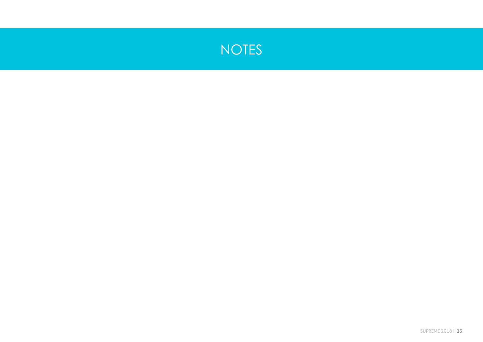